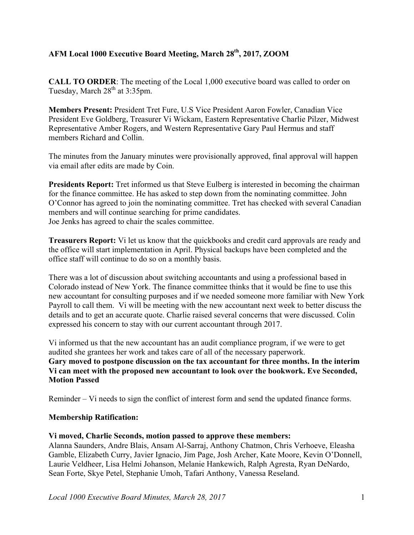# **AFM Local 1000 Executive Board Meeting, March 28th, 2017, ZOOM**

**CALL TO ORDER**: The meeting of the Local 1,000 executive board was called to order on Tuesday, March  $28<sup>th</sup>$  at 3:35pm.

**Members Present:** President Tret Fure, U.S Vice President Aaron Fowler, Canadian Vice President Eve Goldberg, Treasurer Vi Wickam, Eastern Representative Charlie Pilzer, Midwest Representative Amber Rogers, and Western Representative Gary Paul Hermus and staff members Richard and Collin.

The minutes from the January minutes were provisionally approved, final approval will happen via email after edits are made by Coin.

**Presidents Report:** Tret informed us that Steve Eulberg is interested in becoming the chairman for the finance committee. He has asked to step down from the nominating committee. John O'Connor has agreed to join the nominating committee. Tret has checked with several Canadian members and will continue searching for prime candidates. Joe Jenks has agreed to chair the scales committee.

**Treasurers Report:** Vi let us know that the quickbooks and credit card approvals are ready and the office will start implementation in April. Physical backups have been completed and the office staff will continue to do so on a monthly basis.

There was a lot of discussion about switching accountants and using a professional based in Colorado instead of New York. The finance committee thinks that it would be fine to use this new accountant for consulting purposes and if we needed someone more familiar with New York Payroll to call them. Vi will be meeting with the new accountant next week to better discuss the details and to get an accurate quote. Charlie raised several concerns that were discussed. Colin expressed his concern to stay with our current accountant through 2017.

Vi informed us that the new accountant has an audit compliance program, if we were to get audited she grantees her work and takes care of all of the necessary paperwork. **Gary moved to postpone discussion on the tax accountant for three months. In the interim Vi can meet with the proposed new accountant to look over the bookwork. Eve Seconded, Motion Passed**

Reminder – Vi needs to sign the conflict of interest form and send the updated finance forms.

### **Membership Ratification:**

### **Vi moved, Charlie Seconds, motion passed to approve these members:**

Alanna Saunders, Andre Blais, Ansam Al-Sarraj, Anthony Chatmon, Chris Verhoeve, Eleasha Gamble, Elizabeth Curry, Javier Ignacio, Jim Page, Josh Archer, Kate Moore, Kevin O'Donnell, Laurie Veldheer, Lisa Helmi Johanson, Melanie Hankewich, Ralph Agresta, Ryan DeNardo, Sean Forte, Skye Petel, Stephanie Umoh, Tafari Anthony, Vanessa Reseland.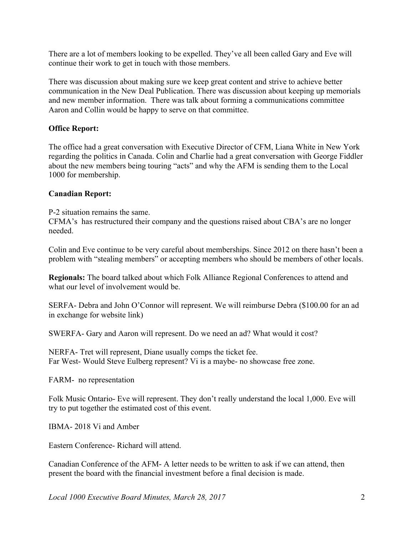There are a lot of members looking to be expelled. They've all been called Gary and Eve will continue their work to get in touch with those members.

There was discussion about making sure we keep great content and strive to achieve better communication in the New Deal Publication. There was discussion about keeping up memorials and new member information. There was talk about forming a communications committee Aaron and Collin would be happy to serve on that committee.

### **Office Report:**

The office had a great conversation with Executive Director of CFM, Liana White in New York regarding the politics in Canada. Colin and Charlie had a great conversation with George Fiddler about the new members being touring "acts" and why the AFM is sending them to the Local 1000 for membership.

### **Canadian Report:**

P-2 situation remains the same.

CFMA's has restructured their company and the questions raised about CBA's are no longer needed.

Colin and Eve continue to be very careful about memberships. Since 2012 on there hasn't been a problem with "stealing members" or accepting members who should be members of other locals.

**Regionals:** The board talked about which Folk Alliance Regional Conferences to attend and what our level of involvement would be.

SERFA- Debra and John O'Connor will represent. We will reimburse Debra (\$100.00 for an ad in exchange for website link)

SWERFA- Gary and Aaron will represent. Do we need an ad? What would it cost?

NERFA- Tret will represent, Diane usually comps the ticket fee. Far West- Would Steve Eulberg represent? Vi is a maybe- no showcase free zone.

FARM- no representation

Folk Music Ontario- Eve will represent. They don't really understand the local 1,000. Eve will try to put together the estimated cost of this event.

IBMA- 2018 Vi and Amber

Eastern Conference- Richard will attend.

Canadian Conference of the AFM- A letter needs to be written to ask if we can attend, then present the board with the financial investment before a final decision is made.

*Local 1000 Executive Board Minutes, March 28, 2017* 2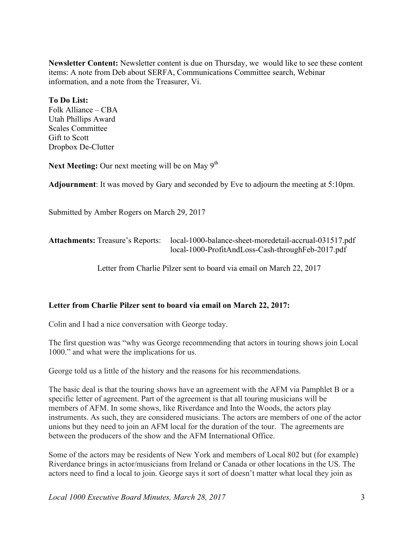**Newsletter Content:** Newsletter content is due on Thursday, we would like to see these content items: A note from Deb about SERFA, Communications Committee search, Webinar information, and a note from the Treasurer, Vi.

### **To Do List:**

Folk Alliance – CBA Utah Phillips Award Scales Committee Gift to Scott Dropbox De-Clutter

**Next Meeting:** Our next meeting will be on May 9<sup>th</sup>

**Adjournment**: It was moved by Gary and seconded by Eve to adjourn the meeting at 5:10pm.

Submitted by Amber Rogers on March 29, 2017

| <b>Attachments: Treasure's Reports:</b> | local-1000-balance-sheet-moredetail-accrual-031517.pdf |
|-----------------------------------------|--------------------------------------------------------|
|                                         | local-1000-ProfitAndLoss-Cash-throughFeb-2017.pdf      |

Letter from Charlie Pilzer sent to board via email on March 22, 2017

### **Letter from Charlie Pilzer sent to board via email on March 22, 2017:**

Colin and I had a nice conversation with George today.

The first question was "why was George recommending that actors in touring shows join Local 1000." and what were the implications for us.

George told us a little of the history and the reasons for his recommendations.

The basic deal is that the touring shows have an agreement with the AFM via Pamphlet B or a specific letter of agreement. Part of the agreement is that all touring musicians will be members of AFM. In some shows, like Riverdance and Into the Woods, the actors play instruments. As such, they are considered musicians. The actors are members of one of the actor unions but they need to join an AFM local for the duration of the tour. The agreements are between the producers of the show and the AFM International Office.

Some of the actors may be residents of New York and members of Local 802 but (for example) Riverdance brings in actor/musicians from Ireland or Canada or other locations in the US. The actors need to find a local to join. George says it sort of doesn't matter what local they join as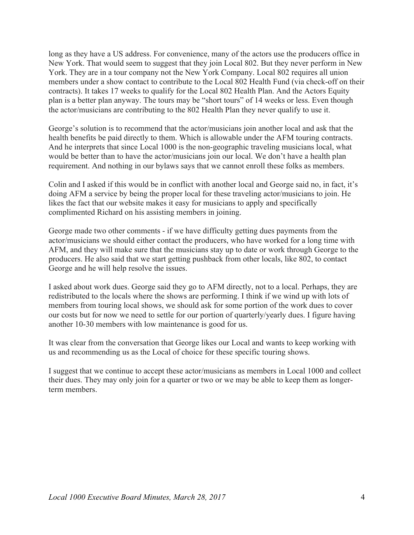long as they have a US address. For convenience, many of the actors use the producers office in New York. That would seem to suggest that they join Local 802. But they never perform in New York. They are in a tour company not the New York Company. Local 802 requires all union members under a show contact to contribute to the Local 802 Health Fund (via check-off on their contracts). It takes 17 weeks to qualify for the Local 802 Health Plan. And the Actors Equity plan is a better plan anyway. The tours may be "short tours" of 14 weeks or less. Even though the actor/musicians are contributing to the 802 Health Plan they never qualify to use it.

George's solution is to recommend that the actor/musicians join another local and ask that the health benefits be paid directly to them. Which is allowable under the AFM touring contracts. And he interprets that since Local 1000 is the non-geographic traveling musicians local, what would be better than to have the actor/musicians join our local. We don't have a health plan requirement. And nothing in our bylaws says that we cannot enroll these folks as members.

Colin and I asked if this would be in conflict with another local and George said no, in fact, it's doing AFM a service by being the proper local for these traveling actor/musicians to join. He likes the fact that our website makes it easy for musicians to apply and specifically complimented Richard on his assisting members in joining.

George made two other comments - if we have difficulty getting dues payments from the actor/musicians we should either contact the producers, who have worked for a long time with AFM, and they will make sure that the musicians stay up to date or work through George to the producers. He also said that we start getting pushback from other locals, like 802, to contact George and he will help resolve the issues.

I asked about work dues. George said they go to AFM directly, not to a local. Perhaps, they are redistributed to the locals where the shows are performing. I think if we wind up with lots of members from touring local shows, we should ask for some portion of the work dues to cover our costs but for now we need to settle for our portion of quarterly/yearly dues. I figure having another 10-30 members with low maintenance is good for us.

It was clear from the conversation that George likes our Local and wants to keep working with us and recommending us as the Local of choice for these specific touring shows.

I suggest that we continue to accept these actor/musicians as members in Local 1000 and collect their dues. They may only join for a quarter or two or we may be able to keep them as longerterm members.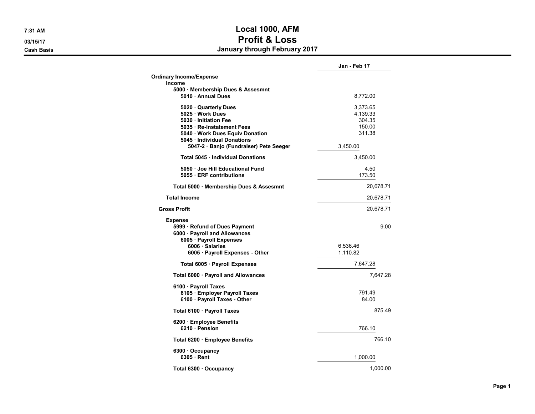7:31 AM Local 1000, AFM 03/15/17 **Profit & Loss** Cash Basis January through February 2017

|                                                                                                             | Jan - Feb 17    |
|-------------------------------------------------------------------------------------------------------------|-----------------|
| <b>Ordinary Income/Expense</b>                                                                              |                 |
| <b>Income</b>                                                                                               |                 |
| 5000 · Membership Dues & Assesmnt<br>5010 · Annual Dues                                                     | 8,772.00        |
| 5020 Quarterly Dues                                                                                         | 3,373.65        |
| 5025 · Work Dues                                                                                            | 4,139.33        |
| 5030 Initiation Fee                                                                                         | 304.35          |
| 5035 · Re-Instatement Fees                                                                                  | 150.00          |
| 5040 Work Dues Equiv Donation                                                                               | 311.38          |
| 5045 · Individual Donations<br>5047-2 · Banjo (Fundraiser) Pete Seeger                                      | 3,450.00        |
| Total 5045 · Individual Donations                                                                           | 3,450.00        |
| 5050 · Joe Hill Educational Fund                                                                            | 4.50            |
| 5055 · ERF contributions                                                                                    | 173.50          |
| Total 5000 · Membership Dues & Assesmnt                                                                     | 20,678.71       |
| <b>Total Income</b>                                                                                         | 20,678.71       |
| <b>Gross Profit</b>                                                                                         | 20,678.71       |
| <b>Expense</b><br>5999 · Refund of Dues Payment<br>6000 · Payroll and Allowances<br>6005 · Payroll Expenses | 9.00            |
| 6006 · Salaries                                                                                             | 6,536.46        |
| 6005 · Payroll Expenses - Other                                                                             | 1,110.82        |
| Total 6005 · Payroll Expenses                                                                               | 7,647.28        |
| Total 6000 · Payroll and Allowances                                                                         | 7,647.28        |
| 6100 · Payroll Taxes                                                                                        |                 |
| 6105 · Employer Payroll Taxes<br>6100 · Payroll Taxes - Other                                               | 791.49<br>84.00 |
| Total 6100 · Payroll Taxes                                                                                  | 875.49          |
|                                                                                                             |                 |
| 6200 · Employee Benefits<br>6210 · Pension                                                                  | 766.10          |
| Total 6200 · Employee Benefits                                                                              | 766.10          |
| $6300 \cdot$ Occupancy                                                                                      |                 |
| $6305 \cdot$ Rent                                                                                           | 1,000.00        |
| Total 6300 · Occupancy                                                                                      | 1.000.00        |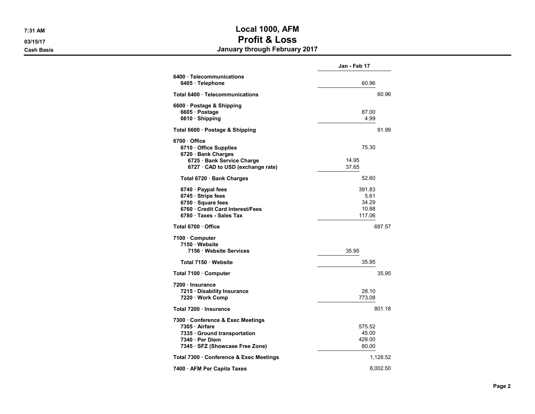## 7:31 AM Local 1000, AFM 03/15/17 **Profit & Loss** Cash Basis January through February 2017

|                                                                                                                                         | Jan - Feb 17                               |  |
|-----------------------------------------------------------------------------------------------------------------------------------------|--------------------------------------------|--|
| 6400 · Telecommunications<br>6405 · Telephone                                                                                           | 60.96                                      |  |
| Total 6400 · Telecommunications                                                                                                         | 60.96                                      |  |
| 6600 · Postage & Shipping<br>6605 · Postage<br>6610 · Shipping                                                                          | 87.00<br>4.99                              |  |
| Total 6600 · Postage & Shipping                                                                                                         | 91.99                                      |  |
| 6700 Office<br>6710 Office Supplies<br>6720 · Bank Charges<br>6725 · Bank Service Charge<br>6727 · CAD to USD (exchange rate)           | 75.30<br>14.95<br>37.65                    |  |
| Total 6720 · Bank Charges                                                                                                               | 52.60                                      |  |
| 6740 · Paypal fees<br>6745 · Stripe fees<br>6750 · Square fees<br>6760 · Credit Card Interest/Fees<br>6780 Taxes - Sales Tax            | 391.83<br>5.61<br>34.29<br>10.88<br>117.06 |  |
| Total 6700 Office                                                                                                                       | 687.57                                     |  |
| 7100 Computer<br>7150 · Website<br>7156 · Website Services                                                                              | 35.95                                      |  |
| Total 7150 · Website                                                                                                                    | 35.95                                      |  |
| Total 7100 · Computer                                                                                                                   | 35.95                                      |  |
| 7200 · Insurance<br>7215 · Disability Insurance<br>7220 · Work Comp                                                                     | 28.10<br>773.08                            |  |
| Total 7200 · Insurance                                                                                                                  | 801.18                                     |  |
| 7300 Conference & Exec Meetings<br>7305 · Airfare<br>7335 · Ground transportation<br>7340 · Per Diem<br>7345 · SFZ (Showcase Free Zone) | 575.52<br>45.00<br>428.00<br>80.00         |  |
| Total 7300 · Conference & Exec Meetings                                                                                                 | 1,128.52                                   |  |
| 7400 · AFM Per Capita Taxes                                                                                                             | 8,002.50                                   |  |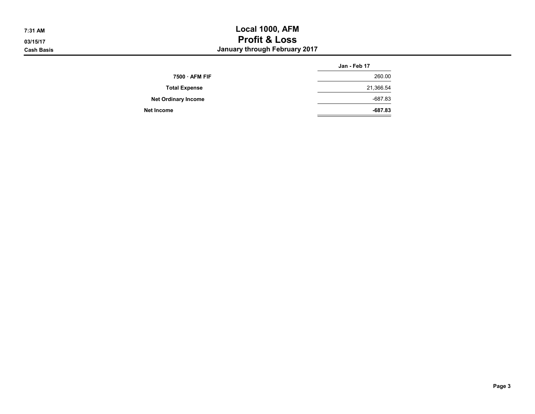## 7:31 AM Local 1000, AFM 03/15/17 **Profit & Loss Cash Basis** Cash Basis **Cash Basis January through February 2017**

|                            | Jan - Feb 17 |
|----------------------------|--------------|
| $7500 \cdot AFM$ FIF       | 260.00       |
| <b>Total Expense</b>       | 21,366.54    |
| <b>Net Ordinary Income</b> | $-687.83$    |
| Net Income                 | $-687.83$    |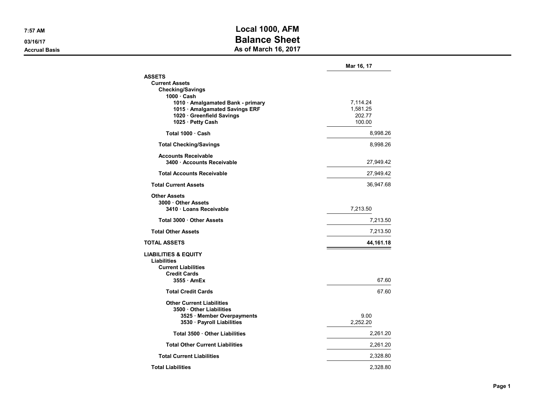## 7:57 AM Local 1000, AFM 03/16/17 **Balance Sheet** Accrual Basis **Accrual Basis** As of March 16, 2017

|                                                                     | Mar 16, 17           |
|---------------------------------------------------------------------|----------------------|
| <b>ASSETS</b>                                                       |                      |
| <b>Current Assets</b>                                               |                      |
| <b>Checking/Savings</b>                                             |                      |
| $1000 \cdot$ Cash                                                   |                      |
| 1010 · Amalgamated Bank - primary<br>1015 · Amalgamated Savings ERF | 7,114.24<br>1,581.25 |
| 1020 · Greenfield Savings                                           | 202.77               |
| 1025 · Petty Cash                                                   | 100.00               |
| Total 1000 Cash                                                     | 8,998.26             |
| <b>Total Checking/Savings</b>                                       | 8,998.26             |
|                                                                     |                      |
| <b>Accounts Receivable</b><br>3400 Accounts Receivable              |                      |
|                                                                     | 27,949.42            |
| <b>Total Accounts Receivable</b>                                    | 27,949.42            |
| <b>Total Current Assets</b>                                         | 36,947.68            |
| <b>Other Assets</b>                                                 |                      |
| 3000 Other Assets                                                   |                      |
| 3410 Loans Receivable                                               | 7,213.50             |
| Total 3000 Other Assets                                             | 7,213.50             |
| <b>Total Other Assets</b>                                           | 7,213.50             |
| <b>TOTAL ASSETS</b>                                                 | 44,161.18            |
| <b>LIABILITIES &amp; EQUITY</b>                                     |                      |
| <b>Liabilities</b>                                                  |                      |
| <b>Current Liabilities</b>                                          |                      |
| <b>Credit Cards</b>                                                 |                      |
| $3555$ AmEx                                                         | 67.60                |
| <b>Total Credit Cards</b>                                           | 67.60                |
| <b>Other Current Liabilities</b>                                    |                      |
| 3500 Other Liabilities                                              |                      |
| 3525 · Member Overpayments                                          | 9.00                 |
| 3530 · Payroll Liabilities                                          | 2,252.20             |
| Total 3500 Other Liabilities                                        | 2,261.20             |
| <b>Total Other Current Liabilities</b>                              | 2,261.20             |
| <b>Total Current Liabilities</b>                                    | 2,328.80             |
| <b>Total Liabilities</b>                                            | 2.328.80             |